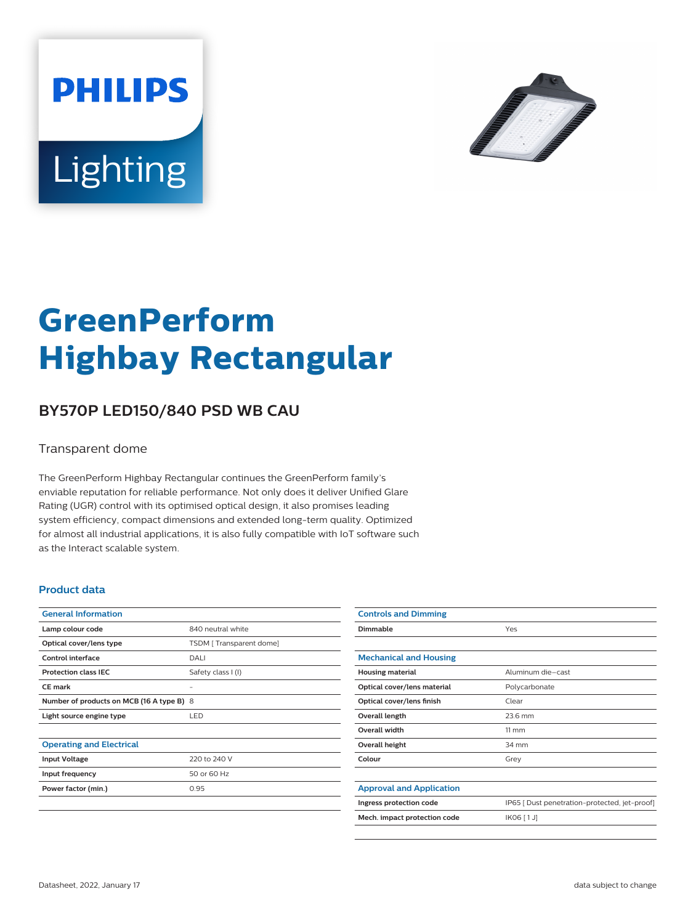



# **GreenPerform Highbay Rectangular**

## **BY570P LED150/840 PSD WB CAU**

#### Transparent dome

The GreenPerform Highbay Rectangular continues the GreenPerform family's enviable reputation for reliable performance. Not only does it deliver Unified Glare Rating (UGR) control with its optimised optical design, it also promises leading system efficiency, compact dimensions and extended long-term quality. Optimized for almost all industrial applications, it is also fully compatible with IoT software such as the Interact scalable system.

#### **Product data**

| <b>General Information</b>                |                         |
|-------------------------------------------|-------------------------|
| Lamp colour code                          | 840 neutral white       |
| Optical cover/lens type                   | TSDM [Transparent dome] |
| Control interface                         | DALI                    |
| <b>Protection class IEC</b>               | Safety class I (I)      |
| CF mark                                   |                         |
| Number of products on MCB (16 A type B) 8 |                         |
| Light source engine type                  | <b>LED</b>              |
|                                           |                         |
| <b>Operating and Electrical</b>           |                         |
| <b>Input Voltage</b>                      | 220 to 240 V            |
| Input frequency                           | 50 or 60 Hz             |
| Power factor (min.)                       | 0.95                    |
|                                           |                         |

| <b>Controls and Dimming</b>     |                                               |
|---------------------------------|-----------------------------------------------|
| Dimmable                        | Yes                                           |
|                                 |                                               |
| <b>Mechanical and Housing</b>   |                                               |
| <b>Housing material</b>         | Aluminum die-cast                             |
| Optical cover/lens material     | Polycarbonate                                 |
| Optical cover/lens finish       | Clear                                         |
| Overall length                  | 23.6 mm                                       |
| <b>Overall width</b>            | $11 \, \mathrm{mm}$                           |
| Overall height                  | 34 mm                                         |
| Colour                          | Grey                                          |
|                                 |                                               |
| <b>Approval and Application</b> |                                               |
| Ingress protection code         | IP65 [ Dust penetration-protected, jet-proof] |
| Mech. impact protection code    | IK06 [1J]                                     |
|                                 |                                               |